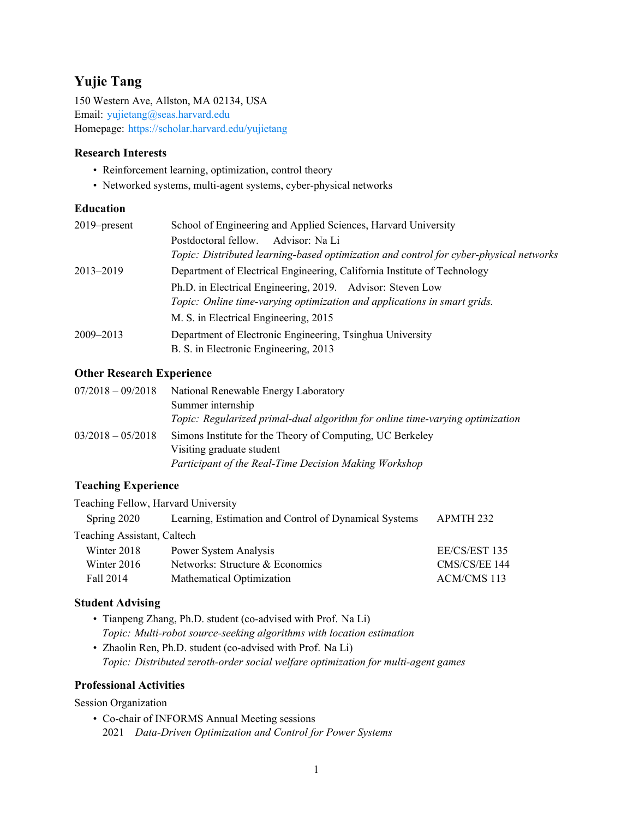# **Yujie Tang**

150 Western Ave, Allston, MA 02134, USA Email: [yujietang@seas.harvard.edu](mailto:yujietang@seas.harvard.edu) Homepage: <https://scholar.harvard.edu/yujietang>

### **Research Interests**

- Reinforcement learning, optimization, control theory
- Networked systems, multi-agent systems, cyber-physical networks

## **Education**

| $2019$ -present | School of Engineering and Applied Sciences, Harvard University                         |
|-----------------|----------------------------------------------------------------------------------------|
|                 | Postdoctoral fellow.<br>Advisor: Na Li                                                 |
|                 | Topic: Distributed learning-based optimization and control for cyber-physical networks |
| 2013–2019       | Department of Electrical Engineering, California Institute of Technology               |
|                 | Ph.D. in Electrical Engineering, 2019. Advisor: Steven Low                             |
|                 | Topic: Online time-varying optimization and applications in smart grids.               |
|                 | M. S. in Electrical Engineering, 2015                                                  |
| $2009 - 2013$   | Department of Electronic Engineering, Tsinghua University                              |
|                 | B. S. in Electronic Engineering, 2013                                                  |

# **Other Research Experience**

| $07/2018 - 09/2018$ | National Renewable Energy Laboratory                                                   |
|---------------------|----------------------------------------------------------------------------------------|
|                     | Summer internship                                                                      |
|                     | Topic: Regularized primal-dual algorithm for online time-varying optimization          |
| $03/2018 - 05/2018$ | Simons Institute for the Theory of Computing, UC Berkeley<br>Visiting graduate student |
|                     | Participant of the Real-Time Decision Making Workshop                                  |

# **Teaching Experience**

| Teaching Fellow, Harvard University |                                                       |               |  |  |
|-------------------------------------|-------------------------------------------------------|---------------|--|--|
| Spring 2020                         | Learning, Estimation and Control of Dynamical Systems | APMTH 232     |  |  |
| Teaching Assistant, Caltech         |                                                       |               |  |  |
| Winter 2018                         | Power System Analysis                                 | EE/CS/EST 135 |  |  |
| Winter $2016$                       | Networks: Structure & Economics                       | CMS/CS/EE 144 |  |  |
| Fall 2014                           | Mathematical Optimization                             | ACM/CMS 113   |  |  |

# **Student Advising**

- Tianpeng Zhang, Ph.D. student (co-advised with Prof. Na Li) *Topic: Multi-robot source-seeking algorithms with location estimation*
- Zhaolin Ren, Ph.D. student (co-advised with Prof. Na Li) *Topic: Distributed zeroth-order social welfare optimization for multi-agent games*

# **Professional Activities**

#### Session Organization

• Co-chair of INFORMS Annual Meeting sessions 2021 *Data-Driven Optimization and Control for Power Systems*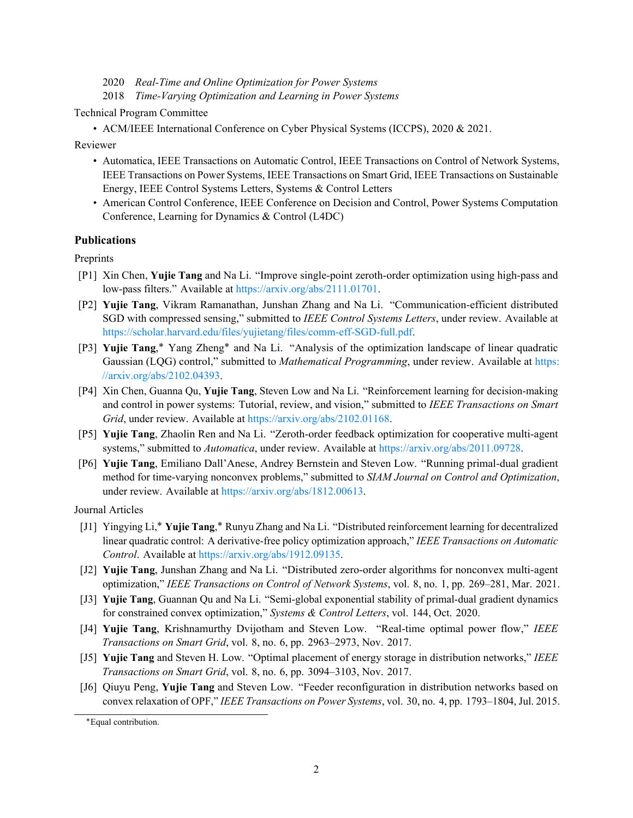- 2020 *Real-Time and Online Optimization for Power Systems*
- 2018 *Time-Varying Optimization and Learning in Power Systems*

Technical Program Committee

• ACM/IEEE International Conference on Cyber Physical Systems (ICCPS), 2020 & 2021.

Reviewer

- Automatica, IEEE Transactions on Automatic Control, IEEE Transactions on Control of Network Systems, IEEE Transactions on Power Systems, IEEE Transactions on Smart Grid, IEEE Transactions on Sustainable Energy, IEEE Control Systems Letters, Systems & Control Letters
- American Control Conference, IEEE Conference on Decision and Control, Power Systems Computation Conference, Learning for Dynamics & Control (L4DC)

#### **Publications**

**Preprints** 

- [P1] Xin Chen, **Yujie Tang** and Na Li. "Improve single-point zeroth-order optimization using high-pass and low-pass filters." Available at [https://arxiv.org/abs/2111.01701.](https://arxiv.org/abs/2111.01701)
- [P2] **Yujie Tang**, Vikram Ramanathan, Junshan Zhang and Na Li. "Communication-efficient distributed SGD with compressed sensing," submitted to *IEEE Control Systems Letters*, under review. Available at [https://scholar.harvard.edu/files/yujietang/files/comm-eff-SGD-full.pdf.](https://scholar.harvard.edu/files/yujietang/files/comm-eff-SGD-full.pdf)
- [P3] **Yujie Tang**,\* Yang Zheng\* and Na Li. "Analysis of the optimization landscape of linear quadratic Gaussian (LQG) control," submitted to *Mathematical Programming*, under review. Available at [https:](https://arxiv.org/abs/2102.04393) [//arxiv.org/abs/2102.04393.](https://arxiv.org/abs/2102.04393)
- [P4] Xin Chen, Guanna Qu, **Yujie Tang**, Steven Low and Na Li. "Reinforcement learning for decision-making and control in power systems: Tutorial, review, and vision," submitted to *IEEE Transactions on Smart Grid*, under review. Available at [https://arxiv.org/abs/2102.01168.](https://arxiv.org/abs/2102.01168)
- [P5] **Yujie Tang**, Zhaolin Ren and Na Li. "Zeroth-order feedback optimization for cooperative multi-agent systems," submitted to *Automatica*, under review. Available at [https://arxiv.org/abs/2011.09728.](https://arxiv.org/abs/2011.09728)
- [P6] **Yujie Tang**, Emiliano Dall'Anese, Andrey Bernstein and Steven Low. "Running primal-dual gradient method for time-varying nonconvex problems," submitted to *SIAM Journal on Control and Optimization*, under review. Available at [https://arxiv.org/abs/1812.00613.](https://arxiv.org/abs/1812.00613)

Journal Articles

- [J1] Yingying Li,\* **Yujie Tang**,\* Runyu Zhang and Na Li. "Distributed reinforcement learning for decentralized linear quadratic control: A derivative-free policy optimization approach," *IEEE Transactions on Automatic Control*. Available at [https://arxiv.org/abs/1912.09135.](https://arxiv.org/abs/1912.09135)
- [J2] **Yujie Tang**, Junshan Zhang and Na Li. "Distributed zero-order algorithms for nonconvex multi-agent optimization," *IEEE Transactions on Control of Network Systems*, vol. 8, no. 1, pp. 269–281, Mar. 2021.
- [J3] **Yujie Tang**, Guannan Qu and Na Li. "Semi-global exponential stability of primal-dual gradient dynamics for constrained convex optimization," *Systems & Control Letters*, vol. 144, Oct. 2020.
- [J4] **Yujie Tang**, Krishnamurthy Dvijotham and Steven Low. "Real-time optimal power flow," *IEEE Transactions on Smart Grid*, vol. 8, no. 6, pp. 2963–2973, Nov. 2017.
- [J5] **Yujie Tang** and Steven H. Low. "Optimal placement of energy storage in distribution networks," *IEEE Transactions on Smart Grid*, vol. 8, no. 6, pp. 3094–3103, Nov. 2017.
- [J6] Qiuyu Peng, **Yujie Tang** and Steven Low. "Feeder reconfiguration in distribution networks based on convex relaxation of OPF," *IEEE Transactions on Power Systems*, vol. 30, no. 4, pp. 1793–1804, Jul. 2015.

<sup>\*</sup>Equal contribution.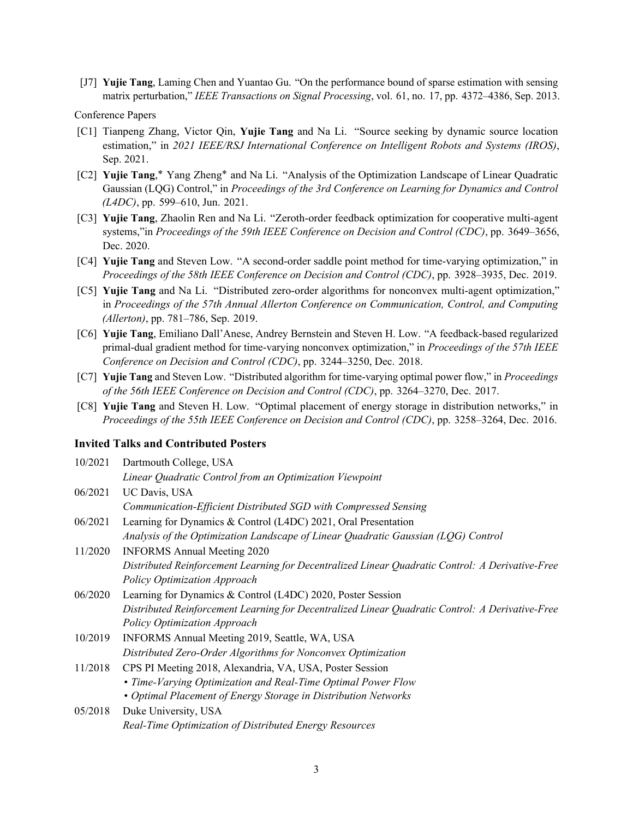[J7] **Yujie Tang**, Laming Chen and Yuantao Gu. "On the performance bound of sparse estimation with sensing matrix perturbation," *IEEE Transactions on Signal Processing*, vol. 61, no. 17, pp. 4372–4386, Sep. 2013.

#### Conference Papers

- [C1] Tianpeng Zhang, Victor Qin, **Yujie Tang** and Na Li. "Source seeking by dynamic source location estimation," in *2021 IEEE/RSJ International Conference on Intelligent Robots and Systems (IROS)*, Sep. 2021.
- [C2] **Yujie Tang**,\* Yang Zheng\* and Na Li. "Analysis of the Optimization Landscape of Linear Quadratic Gaussian (LQG) Control," in *Proceedings of the 3rd Conference on Learning for Dynamics and Control (L4DC)*, pp. 599–610, Jun. 2021.
- [C3] **Yujie Tang**, Zhaolin Ren and Na Li. "Zeroth-order feedback optimization for cooperative multi-agent systems,"in *Proceedings of the 59th IEEE Conference on Decision and Control (CDC)*, pp. 3649–3656, Dec. 2020.
- [C4] **Yujie Tang** and Steven Low. "A second-order saddle point method for time-varying optimization," in *Proceedings of the 58th IEEE Conference on Decision and Control (CDC)*, pp. 3928–3935, Dec. 2019.
- [C5] **Yujie Tang** and Na Li. "Distributed zero-order algorithms for nonconvex multi-agent optimization," in *Proceedings of the 57th Annual Allerton Conference on Communication, Control, and Computing (Allerton)*, pp. 781–786, Sep. 2019.
- [C6] **Yujie Tang**, Emiliano Dall'Anese, Andrey Bernstein and Steven H. Low. "A feedback-based regularized primal-dual gradient method for time-varying nonconvex optimization," in *Proceedings of the 57th IEEE Conference on Decision and Control (CDC)*, pp. 3244–3250, Dec. 2018.
- [C7] **Yujie Tang** and Steven Low. "Distributed algorithm for time-varying optimal power flow," in *Proceedings of the 56th IEEE Conference on Decision and Control (CDC)*, pp. 3264–3270, Dec. 2017.
- [C8] **Yujie Tang** and Steven H. Low. "Optimal placement of energy storage in distribution networks," in *Proceedings of the 55th IEEE Conference on Decision and Control (CDC)*, pp. 3258–3264, Dec. 2016.

#### **Invited Talks and Contributed Posters**

| 10/2021 | Dartmouth College, USA                                                                           |
|---------|--------------------------------------------------------------------------------------------------|
|         | Linear Quadratic Control from an Optimization Viewpoint                                          |
| 06/2021 | UC Davis, USA                                                                                    |
|         | Communication-Efficient Distributed SGD with Compressed Sensing                                  |
| 06/2021 | Learning for Dynamics & Control (L4DC) 2021, Oral Presentation                                   |
|         | Analysis of the Optimization Landscape of Linear Quadratic Gaussian (LQG) Control                |
| 11/2020 | <b>INFORMS Annual Meeting 2020</b>                                                               |
|         | Distributed Reinforcement Learning for Decentralized Linear Quadratic Control: A Derivative-Free |
|         | Policy Optimization Approach                                                                     |
| 06/2020 | Learning for Dynamics & Control (L4DC) 2020, Poster Session                                      |
|         | Distributed Reinforcement Learning for Decentralized Linear Quadratic Control: A Derivative-Free |
|         | Policy Optimization Approach                                                                     |
| 10/2019 | INFORMS Annual Meeting 2019, Seattle, WA, USA                                                    |
|         | Distributed Zero-Order Algorithms for Nonconvex Optimization                                     |
| 11/2018 | CPS PI Meeting 2018, Alexandria, VA, USA, Poster Session                                         |
|         | • Time-Varying Optimization and Real-Time Optimal Power Flow                                     |
|         | • Optimal Placement of Energy Storage in Distribution Networks                                   |
| 05/2018 | Duke University, USA                                                                             |
|         | Real-Time Optimization of Distributed Energy Resources                                           |